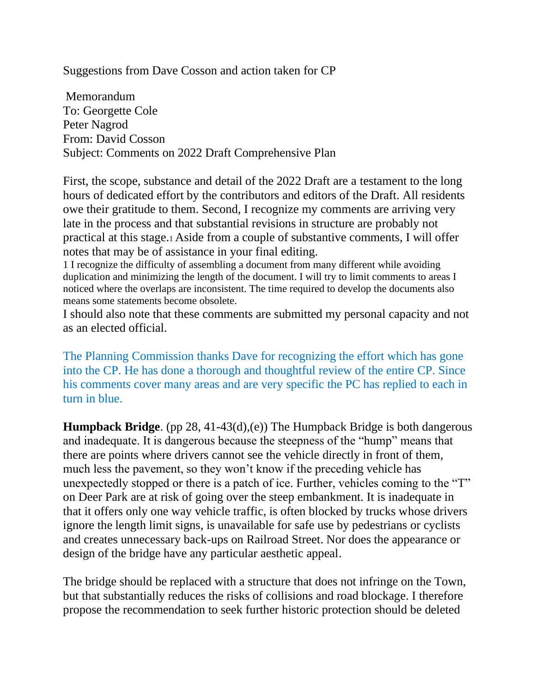Suggestions from Dave Cosson and action taken for CP

Memorandum To: Georgette Cole Peter Nagrod From: David Cosson Subject: Comments on 2022 Draft Comprehensive Plan

First, the scope, substance and detail of the 2022 Draft are a testament to the long hours of dedicated effort by the contributors and editors of the Draft. All residents owe their gratitude to them. Second, I recognize my comments are arriving very late in the process and that substantial revisions in structure are probably not practical at this stage.1 Aside from a couple of substantive comments, I will offer notes that may be of assistance in your final editing.

1 I recognize the difficulty of assembling a document from many different while avoiding duplication and minimizing the length of the document. I will try to limit comments to areas I noticed where the overlaps are inconsistent. The time required to develop the documents also means some statements become obsolete.

I should also note that these comments are submitted my personal capacity and not as an elected official.

The Planning Commission thanks Dave for recognizing the effort which has gone into the CP. He has done a thorough and thoughtful review of the entire CP. Since his comments cover many areas and are very specific the PC has replied to each in turn in blue.

**Humpback Bridge**. (pp 28, 41-43(d),(e)) The Humpback Bridge is both dangerous and inadequate. It is dangerous because the steepness of the "hump" means that there are points where drivers cannot see the vehicle directly in front of them, much less the pavement, so they won't know if the preceding vehicle has unexpectedly stopped or there is a patch of ice. Further, vehicles coming to the "T" on Deer Park are at risk of going over the steep embankment. It is inadequate in that it offers only one way vehicle traffic, is often blocked by trucks whose drivers ignore the length limit signs, is unavailable for safe use by pedestrians or cyclists and creates unnecessary back-ups on Railroad Street. Nor does the appearance or design of the bridge have any particular aesthetic appeal.

The bridge should be replaced with a structure that does not infringe on the Town, but that substantially reduces the risks of collisions and road blockage. I therefore propose the recommendation to seek further historic protection should be deleted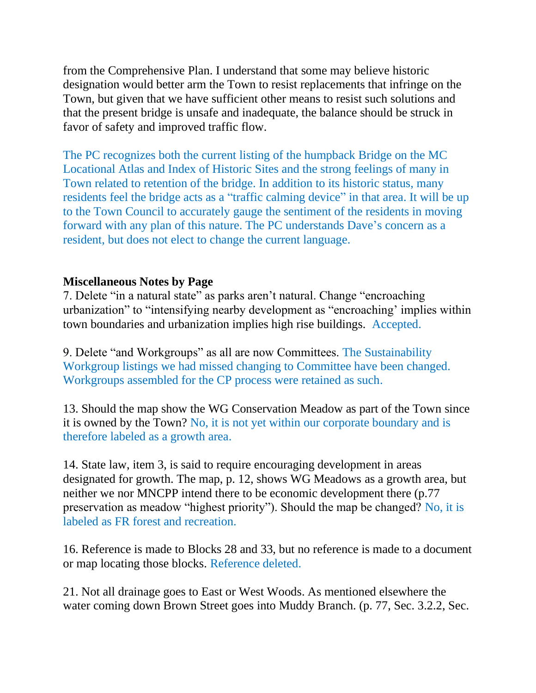from the Comprehensive Plan. I understand that some may believe historic designation would better arm the Town to resist replacements that infringe on the Town, but given that we have sufficient other means to resist such solutions and that the present bridge is unsafe and inadequate, the balance should be struck in favor of safety and improved traffic flow.

The PC recognizes both the current listing of the humpback Bridge on the MC Locational Atlas and Index of Historic Sites and the strong feelings of many in Town related to retention of the bridge. In addition to its historic status, many residents feel the bridge acts as a "traffic calming device" in that area. It will be up to the Town Council to accurately gauge the sentiment of the residents in moving forward with any plan of this nature. The PC understands Dave's concern as a resident, but does not elect to change the current language.

## **Miscellaneous Notes by Page**

7. Delete "in a natural state" as parks aren't natural. Change "encroaching urbanization" to "intensifying nearby development as "encroaching' implies within town boundaries and urbanization implies high rise buildings. Accepted.

9. Delete "and Workgroups" as all are now Committees. The Sustainability Workgroup listings we had missed changing to Committee have been changed. Workgroups assembled for the CP process were retained as such.

13. Should the map show the WG Conservation Meadow as part of the Town since it is owned by the Town? No, it is not yet within our corporate boundary and is therefore labeled as a growth area.

14. State law, item 3, is said to require encouraging development in areas designated for growth. The map, p. 12, shows WG Meadows as a growth area, but neither we nor MNCPP intend there to be economic development there (p.77 preservation as meadow "highest priority"). Should the map be changed? No, it is labeled as FR forest and recreation.

16. Reference is made to Blocks 28 and 33, but no reference is made to a document or map locating those blocks. Reference deleted.

21. Not all drainage goes to East or West Woods. As mentioned elsewhere the water coming down Brown Street goes into Muddy Branch. (p. 77, Sec. 3.2.2, Sec.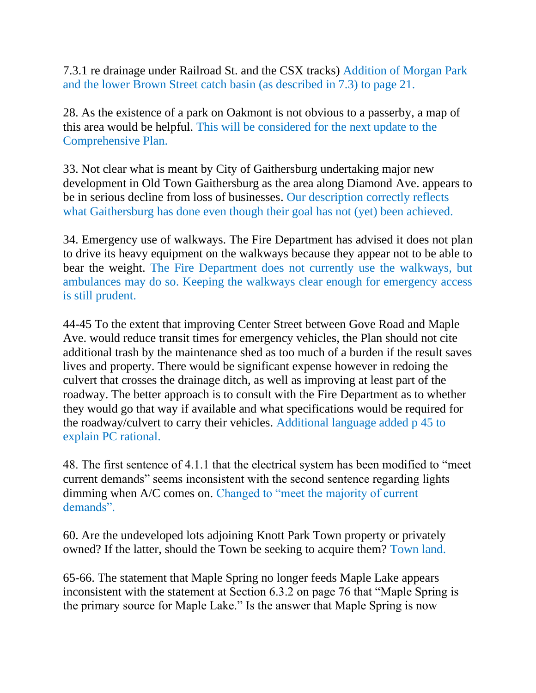7.3.1 re drainage under Railroad St. and the CSX tracks) Addition of Morgan Park and the lower Brown Street catch basin (as described in 7.3) to page 21.

28. As the existence of a park on Oakmont is not obvious to a passerby, a map of this area would be helpful. This will be considered for the next update to the Comprehensive Plan.

33. Not clear what is meant by City of Gaithersburg undertaking major new development in Old Town Gaithersburg as the area along Diamond Ave. appears to be in serious decline from loss of businesses. Our description correctly reflects what Gaithersburg has done even though their goal has not (yet) been achieved.

34. Emergency use of walkways. The Fire Department has advised it does not plan to drive its heavy equipment on the walkways because they appear not to be able to bear the weight. The Fire Department does not currently use the walkways, but ambulances may do so. Keeping the walkways clear enough for emergency access is still prudent.

44-45 To the extent that improving Center Street between Gove Road and Maple Ave. would reduce transit times for emergency vehicles, the Plan should not cite additional trash by the maintenance shed as too much of a burden if the result saves lives and property. There would be significant expense however in redoing the culvert that crosses the drainage ditch, as well as improving at least part of the roadway. The better approach is to consult with the Fire Department as to whether they would go that way if available and what specifications would be required for the roadway/culvert to carry their vehicles. Additional language added p 45 to explain PC rational.

48. The first sentence of 4.1.1 that the electrical system has been modified to "meet current demands" seems inconsistent with the second sentence regarding lights dimming when A/C comes on. Changed to "meet the majority of current demands".

60. Are the undeveloped lots adjoining Knott Park Town property or privately owned? If the latter, should the Town be seeking to acquire them? Town land.

65-66. The statement that Maple Spring no longer feeds Maple Lake appears inconsistent with the statement at Section 6.3.2 on page 76 that "Maple Spring is the primary source for Maple Lake." Is the answer that Maple Spring is now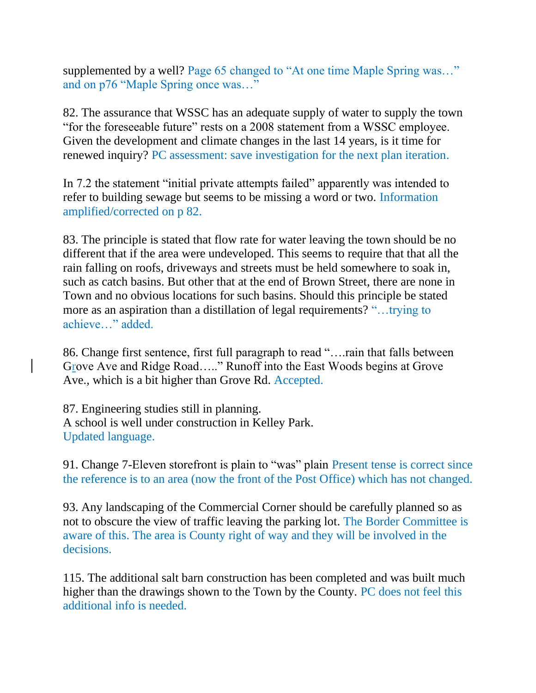supplemented by a well? Page 65 changed to "At one time Maple Spring was..." and on p76 "Maple Spring once was…"

82. The assurance that WSSC has an adequate supply of water to supply the town "for the foreseeable future" rests on a 2008 statement from a WSSC employee. Given the development and climate changes in the last 14 years, is it time for renewed inquiry? PC assessment: save investigation for the next plan iteration.

In 7.2 the statement "initial private attempts failed" apparently was intended to refer to building sewage but seems to be missing a word or two. Information amplified/corrected on p 82.

83. The principle is stated that flow rate for water leaving the town should be no different that if the area were undeveloped. This seems to require that that all the rain falling on roofs, driveways and streets must be held somewhere to soak in, such as catch basins. But other that at the end of Brown Street, there are none in Town and no obvious locations for such basins. Should this principle be stated more as an aspiration than a distillation of legal requirements? "…trying to achieve…" added.

86. Change first sentence, first full paragraph to read "….rain that falls between Grove Ave and Ridge Road….." Runoff into the East Woods begins at Grove Ave., which is a bit higher than Grove Rd. Accepted.

87. Engineering studies still in planning. A school is well under construction in Kelley Park. Updated language.

91. Change 7-Eleven storefront is plain to "was" plain Present tense is correct since the reference is to an area (now the front of the Post Office) which has not changed.

93. Any landscaping of the Commercial Corner should be carefully planned so as not to obscure the view of traffic leaving the parking lot. The Border Committee is aware of this. The area is County right of way and they will be involved in the decisions.

115. The additional salt barn construction has been completed and was built much higher than the drawings shown to the Town by the County. PC does not feel this additional info is needed.